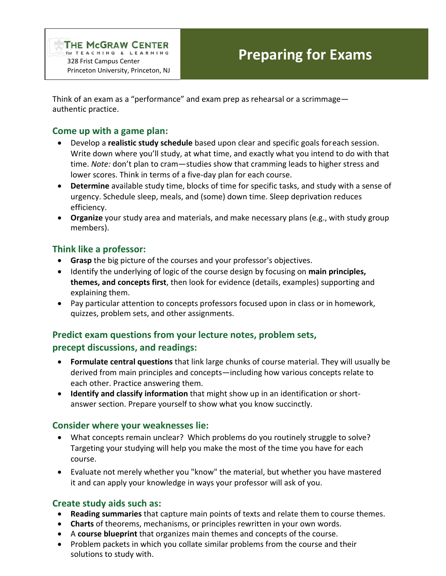Think of an exam as a "performance" and exam prep as rehearsal or a scrimmage authentic practice.

## **Come up with a game plan:**

- Develop a **realistic study schedule** based upon clear and specific goals foreach session. Write down where you'll study, at what time, and exactly what you intend to do with that time. *Note:* don't plan to cram—studies show that cramming leads to higher stress and lower scores. Think in terms of a five-day plan for each course.
- **Determine** available study time, blocks of time for specific tasks, and study with a sense of urgency. Schedule sleep, meals, and (some) down time. Sleep deprivation reduces efficiency.
- **Organize** your study area and materials, and make necessary plans (e.g., with study group members).

# **Think like a professor:**

- **Grasp** the big picture of the courses and your professor's objectives.
- Identify the underlying of logic of the course design by focusing on **main principles, themes, and concepts first**, then look for evidence (details, examples) supporting and explaining them.
- Pay particular attention to concepts professors focused upon in class or in homework, quizzes, problem sets, and other assignments.

# **Predict exam questions from your lecture notes, problem sets, precept discussions, and readings:**

- **Formulate central questions** that link large chunks of course material. They will usually be derived from main principles and concepts—including how various concepts relate to each other. Practice answering them.
- **Identify and classify information** that might show up in an identification or shortanswer section. Prepare yourself to show what you know succinctly.

# **Consider where your weaknesses lie:**

- What concepts remain unclear? Which problems do you routinely struggle to solve? Targeting your studying will help you make the most of the time you have for each course.
- Evaluate not merely whether you "know" the material, but whether you have mastered it and can apply your knowledge in ways your professor will ask of you.

## **Create study aids such as:**

- **Reading summaries** that capture main points of texts and relate them to course themes.
- **Charts** of theorems, mechanisms, or principles rewritten in your own words.
- A **course blueprint** that organizes main themes and concepts of the course.
- Problem packets in which you collate similar problems from the course and their solutions to study with.